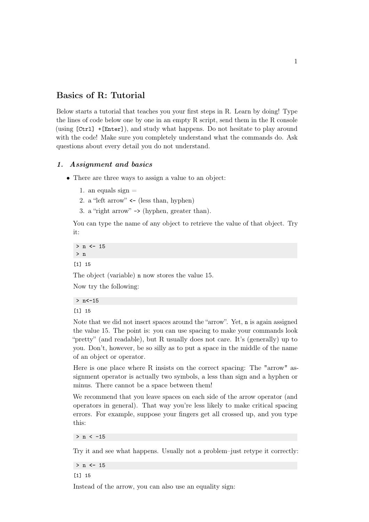## Basics of R: Tutorial

Below starts a tutorial that teaches you your first steps in R. Learn by doing! Type the lines of code below one by one in an empty R script, send them in the R console (using [Ctrl] +[Enter]), and study what happens. Do not hesitate to play around with the code! Make sure you completely understand what the commands do. Ask questions about every detail you do not understand.

## 1. Assignment and basics

- There are three ways to assign a value to an object:
	- 1. an equals sign  $=$
	- 2. a "left arrow" **<-** (less than, hyphen)
	- 3. a "right arrow" -> (hyphen, greater than).

You can type the name of any object to retrieve the value of that object. Try it:

> n **<-** 15 > n [1] 15

The object (variable) n now stores the value 15.

Now try the following:

```
> n<-15
```
[1] 15

Note that we did not insert spaces around the "arrow". Yet, n is again assigned the value 15. The point is: you can use spacing to make your commands look "pretty" (and readable), but R usually does not care. It's (generally) up to you. Don't, however, be so silly as to put a space in the middle of the name of an object or operator.

Here is one place where R insists on the correct spacing: The "arrow" assignment operator is actually two symbols, a less than sign and a hyphen or minus. There cannot be a space between them!

We recommend that you leave spaces on each side of the arrow operator (and operators in general). That way you're less likely to make critical spacing errors. For example, suppose your fingers get all crossed up, and you type this:

 $> n < -15$ 

Try it and see what happens. Usually not a problem–just retype it correctly:

> n **<-** 15

[1] 15

Instead of the arrow, you can also use an equality sign: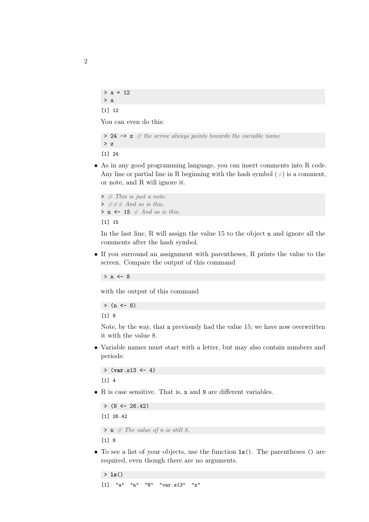```
> a = 12> a
```
[1] 12

You can even do this:

```
> 24 \rightarrow z # the arrow always points towards the variable name
> z
```
[1] 24

• As in any good programming language, you can insert comments into R code. Any line or partial line in R beginning with the hash symbol  $(\#)$  is a comment, or note, and R will ignore it.

```
\rightarrow # This is just a note.
\rightarrow ### And so is this.
> n \leq 15 \# And so is this.
```
[1] 15

In the last line, R will assign the value 15 to the object n and ignore all the comments after the hash symbol.

• If you surround an assignment with parentheses, R prints the value to the screen. Compare the output of this command

> n **<-** 8

with the output of this command

```
> (n <- 8)
```
[1] 8

Note, by the way, that n previously had the value 15; we have now overwritten it with the value 8.

• Variable names must start with a letter, but may also contain numbers and periods:

```
> (var.s13 <- 4)
[1] 4
```
• R is case sensitive. That is, n and N are different variables.

```
> (N <- 26.42)
[1] 26.42
> \mathbf{n} \# The value of n is still 8.
[1] 8
```
• To see a list of your objects, use the function **ls**(). The parentheses () are required, even though there are no arguments.

```
> ls()
[1] "a" "n" "N" "var.s13" "z"
```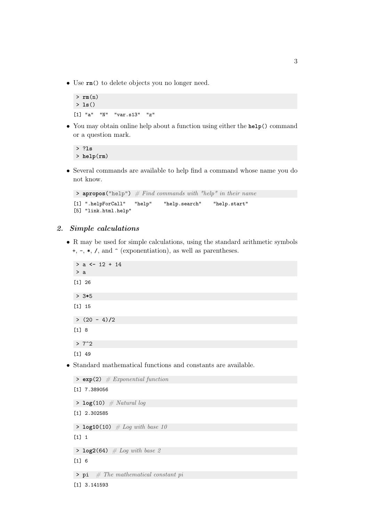• Use **rm**() to delete objects you no longer need.

```
> rm(n)
> ls()
[1] "a" "N" "var.s13" "z"
```
• You may obtain online help about a function using either the **help**() command or a question mark.

```
> ?ls
> help(rm)
```
• Several commands are available to help find a command whose name you do not know.

```
\rightarrow apropos("help") \# Find commands with "help" in their name
[1] ".helpForCall" "help" "help.search" "help.start"
[5] "link.html.help"
```
## 2. Simple calculations

• R may be used for simple calculations, using the standard arithmetic symbols +, -, **\***, **/**, and ^ (exponentiation), as well as parentheses.

```
> a <- 12 + 14
  > a
  [1] 26
  > 3*5
  [1] 15
  > (20 - 4)/2
  [1] 8
  > 7^2[1] 49
• Standard mathematical functions and constants are available.
  > exp(2) # Exponential function
  [1] 7.389056
  > log(10) # Natural log
  [1] 2.302585
  \rightarrow log10(10) # Log with base 10
  [1] 1
```
- $[1] 6$
- $> pi$  # The mathematical constant pi
- [1] 3.141593